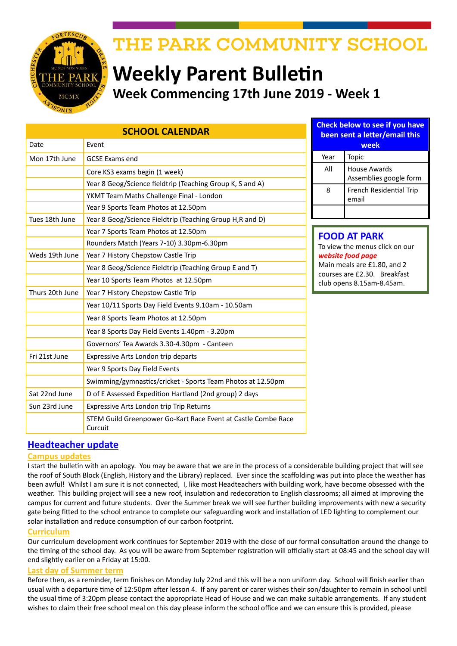

# THE PARK COMMUNITY SCHOOL

# **Weekly Parent Bulletin Week Commencing 17th June 2019 - Week 1**

| <b>SCHOOL CALENDAR</b> |                                                                          |                                                       | <b>Check below to see if you have</b><br>been sent a letter/email this                                        |                                               |  |
|------------------------|--------------------------------------------------------------------------|-------------------------------------------------------|---------------------------------------------------------------------------------------------------------------|-----------------------------------------------|--|
| Date                   | Event                                                                    |                                                       |                                                                                                               | week                                          |  |
| Mon 17th June          | <b>GCSE Exams end</b>                                                    |                                                       | Year                                                                                                          | Topic                                         |  |
|                        | Core KS3 exams begin (1 week)                                            |                                                       | All                                                                                                           | <b>House Awards</b><br>Assemblies google form |  |
|                        | Year 8 Geog/Science fieldtrip (Teaching Group K, S and A)                |                                                       | 8                                                                                                             | French Residential Trip                       |  |
|                        | YKMT Team Maths Challenge Final - London                                 |                                                       |                                                                                                               | email                                         |  |
|                        | Year 9 Sports Team Photos at 12.50pm                                     |                                                       |                                                                                                               |                                               |  |
| Tues 18th June         | Year 8 Geog/Science Fieldtrip (Teaching Group H,R and D)                 |                                                       |                                                                                                               |                                               |  |
|                        | Year 7 Sports Team Photos at 12.50pm                                     | <b>FOOD AT PARK</b><br>To view the menus click on our |                                                                                                               |                                               |  |
|                        | Rounders Match (Years 7-10) 3.30pm-6.30pm                                |                                                       |                                                                                                               |                                               |  |
| Weds 19th June         | Year 7 History Chepstow Castle Trip                                      |                                                       | website food page<br>Main meals are £1.80, and 2<br>courses are £2.30. Breakfast<br>club opens 8.15am-8.45am. |                                               |  |
|                        | Year 8 Geog/Science Fieldtrip (Teaching Group E and T)                   |                                                       |                                                                                                               |                                               |  |
|                        | Year 10 Sports Team Photos at 12.50pm                                    |                                                       |                                                                                                               |                                               |  |
| Thurs 20th June        | Year 7 History Chepstow Castle Trip                                      |                                                       |                                                                                                               |                                               |  |
|                        | Year 10/11 Sports Day Field Events 9.10am - 10.50am                      |                                                       |                                                                                                               |                                               |  |
|                        | Year 8 Sports Team Photos at 12.50pm                                     |                                                       |                                                                                                               |                                               |  |
|                        | Year 8 Sports Day Field Events 1.40pm - 3.20pm                           |                                                       |                                                                                                               |                                               |  |
|                        | Governors' Tea Awards 3.30-4.30pm - Canteen                              |                                                       |                                                                                                               |                                               |  |
| Fri 21st June          | Expressive Arts London trip departs                                      |                                                       |                                                                                                               |                                               |  |
|                        | Year 9 Sports Day Field Events                                           |                                                       |                                                                                                               |                                               |  |
|                        | Swimming/gymnastics/cricket - Sports Team Photos at 12.50pm              |                                                       |                                                                                                               |                                               |  |
| Sat 22nd June          | D of E Assessed Expedition Hartland (2nd group) 2 days                   |                                                       |                                                                                                               |                                               |  |
| Sun 23rd June          | Expressive Arts London trip Trip Returns                                 |                                                       |                                                                                                               |                                               |  |
|                        | STEM Guild Greenpower Go-Kart Race Event at Castle Combe Race<br>Curcuit |                                                       |                                                                                                               |                                               |  |

## **Headteacher update**

### **Campus updates**

I start the bulletin with an apology. You may be aware that we are in the process of a considerable building project that will see the roof of South Block (English, History and the Library) replaced. Ever since the scaffolding was put into place the weather has been awful! Whilst I am sure it is not connected, I, like most Headteachers with building work, have become obsessed with the weather. This building project will see a new roof, insulation and redecoration to English classrooms; all aimed at improving the campus for current and future students. Over the Summer break we will see further building improvements with new a security gate being fitted to the school entrance to complete our safeguarding work and installation of LED lighting to complement our solar installation and reduce consumption of our carbon footprint.

### **Curriculum**

Our curriculum development work continues for September 2019 with the close of our formal consultation around the change to the timing of the school day. As you will be aware from September registration will officially start at 08:45 and the school day will end slightly earlier on a Friday at 15:00.

#### **Last day of Summer term**

Before then, as a reminder, term finishes on Monday July 22nd and this will be a non uniform day. School will finish earlier than usual with a departure time of 12:50pm after lesson 4. If any parent or carer wishes their son/daughter to remain in school until the usual time of 3:20pm please contact the appropriate Head of House and we can make suitable arrangements. If any student wishes to claim their free school meal on this day please inform the school office and we can ensure this is provided, please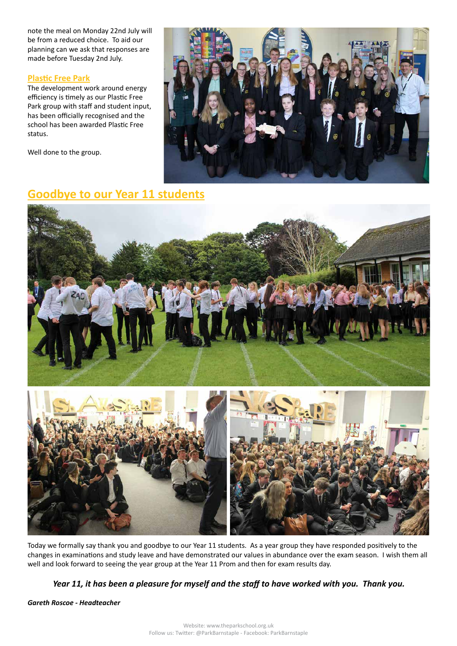note the meal on Monday 22nd July will be from a reduced choice. To aid our planning can we ask that responses are made before Tuesday 2nd July.

#### **Plastic Free Park**

The development work around energy efficiency is timely as our Plastic Free Park group with staff and student input, has been officially recognised and the school has been awarded Plastic Free status.

Well done to the group.



## **Goodbye to our Year 11 students**



Today we formally say thank you and goodbye to our Year 11 students. As a year group they have responded positively to the changes in examinations and study leave and have demonstrated our values in abundance over the exam season. I wish them all well and look forward to seeing the year group at the Year 11 Prom and then for exam results day.

### *Year 11, it has been a pleasure for myself and the staff to have worked with you. Thank you.*

*Gareth Roscoe - Headteacher*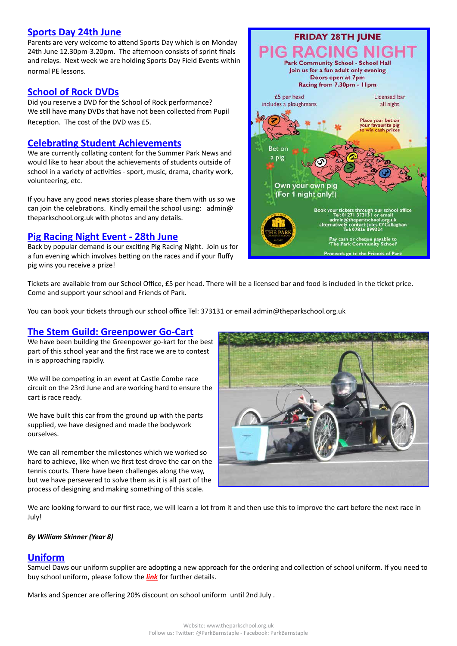### **Sports Day 24th June**

Parents are very welcome to attend Sports Day which is on Monday 24th June 12.30pm-3.20pm. The afternoon consists of sprint finals and relays. Next week we are holding Sports Day Field Events within normal PE lessons.

## **School of Rock DVDs**

Did you reserve a DVD for the School of Rock performance? We still have many DVDs that have not been collected from Pupil Reception. The cost of the DVD was £5.

## **Celebrating Student Achievements**

We are currently collating content for the Summer Park News and would like to hear about the achievements of students outside of school in a variety of activities - sport, music, drama, charity work, volunteering, etc.

If you have any good news stories please share them with us so we can join the celebrations. Kindly email the school using: admin@ theparkschool.org.uk with photos and any details.

### **Pig Racing Night Event - 28th June**

Back by popular demand is our exciting Pig Racing Night. Join us for a fun evening which involves betting on the races and if your fluffy pig wins you receive a prize!



Tickets are available from our School Office, £5 per head. There will be a licensed bar and food is included in the ticket price. Come and support your school and Friends of Park.

You can book your tickets through our school office Tel: 373131 or email admin@theparkschool.org.uk

### **The Stem Guild: Greenpower Go-Cart**

We have been building the Greenpower go-kart for the best part of this school year and the first race we are to contest in is approaching rapidly.

We will be competing in an event at Castle Combe race circuit on the 23rd June and are working hard to ensure the cart is race ready.

We have built this car from the ground up with the parts supplied, we have designed and made the bodywork ourselves.

We can all remember the milestones which we worked so hard to achieve, like when we first test drove the car on the tennis courts. There have been challenges along the way, but we have persevered to solve them as it is all part of the process of designing and making something of this scale.



We are looking forward to our first race, we will learn a lot from it and then use this to improve the cart before the next race in July!

#### *By William Skinner (Year 8)*

## **Uniform**

Samuel Daws our uniform supplier are adopting a new approach for the ordering and collection of school uniform. If you need to buy school uniform, please follow the *[link](https://www.samdaw.co.uk/blogs/news/summer-holidays-at-daws-whats-new)* for further details.

Marks and Spencer are offering 20% discount on school uniform until 2nd July .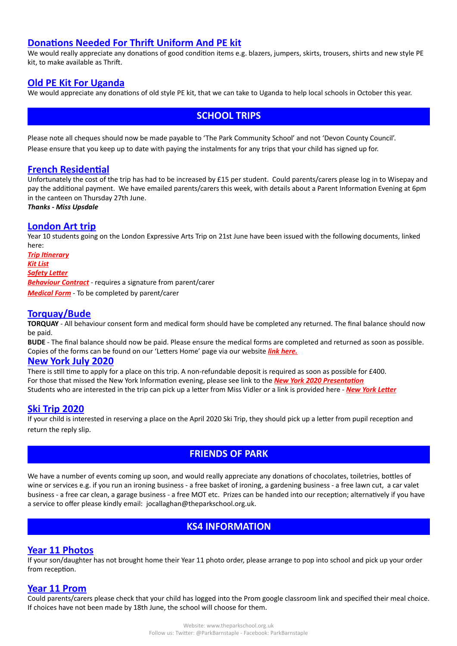## **Donations Needed For Thrift Uniform And PE kit**

We would really appreciate any donations of good condition items e.g. blazers, jumpers, skirts, trousers, shirts and new style PE kit, to make available as Thrift.

## **Old PE Kit For Uganda**

We would appreciate any donations of old style PE kit, that we can take to Uganda to help local schools in October this year.

## **SCHOOL TRIPS**

Please note all cheques should now be made payable to 'The Park Community School' and not 'Devon County Council'. Please ensure that you keep up to date with paying the instalments for any trips that your child has signed up for.

### **French Residential**

Unfortunately the cost of the trip has had to be increased by £15 per student. Could parents/carers please log in to Wisepay and pay the additional payment. We have emailed parents/carers this week, with details about a Parent Information Evening at 6pm in the canteen on Thursday 27th June.

#### *Thanks - Miss Upsdale*

#### **London Art trip**

Year 10 students going on the London Expressive Arts Trip on 21st June have been issued with the following documents, linked here:

*[Trip Itinerary](http://www.theparkschool.org.uk/sites/default/files/London-Art-Trip-Itinerary-2019.pdf) [Kit List](http://www.theparkschool.org.uk/sites/default/files/London-Art-Trip-kit-List-2019.pdf) [Safety Letter](http://www.theparkschool.org.uk/sites/default/files/London-Safety-Letter19.pdf) [Behaviour Contract](http://www.theparkschool.org.uk/sites/default/files/Art-Trip-Contract-2019_0.pdf)* - requires a signature from parent/carer *[Medical Form](http://www.theparkschool.org.uk/sites/default/files/Expressive%20Arts%20Trip%202019.pdf)* - To be completed by parent/carer

## **Torquay/Bude**

**TORQUAY** - All behaviour consent form and medical form should have be completed any returned. The final balance should now be paid.

**BUDE** - The final balance should now be paid. Please ensure the medical forms are completed and returned as soon as possible. Copies of the forms can be found on our 'Letters Home' page via our website *[link here](http://www.theparkschool.org.uk/letters-home-0).*

#### **New York July 2020**

There is still time to apply for a place on this trip. A non-refundable deposit is required as soon as possible for £400. For those that missed the New York Information evening, please see link to the *[New York 2020 Presentation](http://www.theparkschool.org.uk/sites/default/files/NewYorkMeetingPowerPoint-July2020.pdf)* Students who are interested in the trip can pick up a letter from Miss Vidler or a link is provided here - *[New York Letter](http://www.theparkschool.org.uk/sites/default/files/Payment%20Plan%20and%20Itinerary%20letter%202020.pdf)*

### **Ski Trip 2020**

If your child is interested in reserving a place on the April 2020 Ski Trip, they should pick up a letter from pupil reception and return the reply slip.

## **FRIENDS OF PARK**

We have a number of events coming up soon, and would really appreciate any donations of chocolates, toiletries, bottles of wine or services e.g. if you run an ironing business - a free basket of ironing, a gardening business - a free lawn cut, a car valet business - a free car clean, a garage business - a free MOT etc. Prizes can be handed into our reception; alternatively if you have a service to offer please kindly email: jocallaghan@theparkschool.org.uk.

## **KS4 INFORMATION**

### **Year 11 Photos**

If your son/daughter has not brought home their Year 11 photo order, please arrange to pop into school and pick up your order from reception.

### **Year 11 Prom**

Could parents/carers please check that your child has logged into the Prom google classroom link and specified their meal choice. If choices have not been made by 18th June, the school will choose for them.